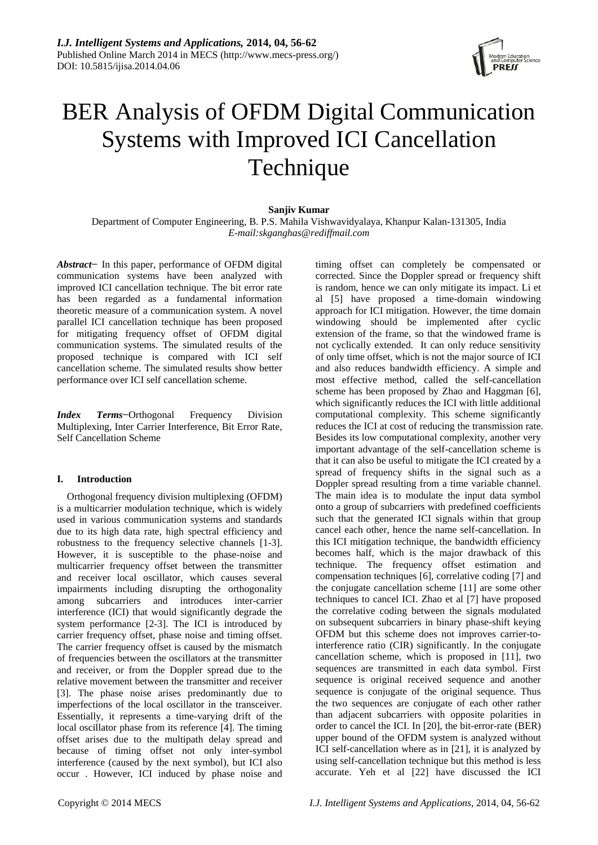

# BER Analysis of OFDM Digital Communication Systems with Improved ICI Cancellation Technique

# **Sanjiv Kumar**

Department of Computer Engineering, B. P.S. Mahila Vishwavidyalaya, Khanpur Kalan-131305, India *E-mail:skganghas@rediffmail.com*

*Abstract−* In this paper, performance of OFDM digital communication systems have been analyzed with improved ICI cancellation technique. The bit error rate has been regarded as a fundamental information theoretic measure of a communication system. A novel parallel ICI cancellation technique has been proposed for mitigating frequency offset of OFDM digital communication systems. The simulated results of the proposed technique is compared with ICI self cancellation scheme. The simulated results show better performance over ICI self cancellation scheme.

*Index Terms***−**Orthogonal Frequency Division Multiplexing, Inter Carrier Interference, Bit Error Rate, Self Cancellation Scheme

## **I. Introduction**

Orthogonal frequency division multiplexing (OFDM) is a multicarrier modulation technique, which is widely used in various communication systems and standards due to its high data rate, high spectral efficiency and robustness to the frequency selective channels [1-3]. However, it is susceptible to the phase-noise and multicarrier frequency offset between the transmitter and receiver local oscillator, which causes several impairments including disrupting the orthogonality among subcarriers and introduces inter-carrier interference (ICI) that would significantly degrade the system performance [2-3]. The ICI is introduced by carrier frequency offset, phase noise and timing offset. The carrier frequency offset is caused by the mismatch of frequencies between the oscillators at the transmitter and receiver, or from the Doppler spread due to the relative movement between the transmitter and receiver [3]. The phase noise arises predominantly due to imperfections of the local oscillator in the transceiver. Essentially, it represents a time-varying drift of the local oscillator phase from its reference [4]. The timing offset arises due to the multipath delay spread and because of timing offset not only inter-symbol interference (caused by the next symbol), but ICI also occur . However, ICI induced by phase noise and

timing offset can completely be compensated or corrected. Since the Doppler spread or frequency shift is random, hence we can only mitigate its impact. Li et al [5] have proposed a time-domain windowing approach for ICI mitigation. However, the time domain windowing should be implemented after cyclic extension of the frame, so that the windowed frame is not cyclically extended. It can only reduce sensitivity of only time offset, which is not the major source of ICI and also reduces bandwidth efficiency. A simple and most effective method, called the self-cancellation scheme has been proposed by Zhao and Haggman [6], which significantly reduces the ICI with little additional computational complexity. This scheme significantly reduces the ICI at cost of reducing the transmission rate. Besides its low computational complexity, another very important advantage of the self-cancellation scheme is that it can also be useful to mitigate the ICI created by a spread of frequency shifts in the signal such as a Doppler spread resulting from a time variable channel. The main idea is to modulate the input data symbol onto a group of subcarriers with predefined coefficients such that the generated ICI signals within that group cancel each other, hence the name self-cancellation. In this ICI mitigation technique, the bandwidth efficiency becomes half, which is the major drawback of this technique. The frequency offset estimation and compensation techniques [6], correlative coding [7] and the conjugate cancellation scheme [11] are some other techniques to cancel ICI. Zhao et al [7] have proposed the correlative coding between the signals modulated on subsequent subcarriers in binary phase-shift keying OFDM but this scheme does not improves carrier-tointerference ratio (CIR) significantly. In the conjugate cancellation scheme, which is proposed in [11], two sequences are transmitted in each data symbol. First sequence is original received sequence and another sequence is conjugate of the original sequence. Thus the two sequences are conjugate of each other rather than adjacent subcarriers with opposite polarities in order to cancel the ICI. In [20], the bit-error-rate (BER) upper bound of the OFDM system is analyzed without ICI self-cancellation where as in [21], it is analyzed by using self-cancellation technique but this method is less accurate. Yeh et al [22] have discussed the ICI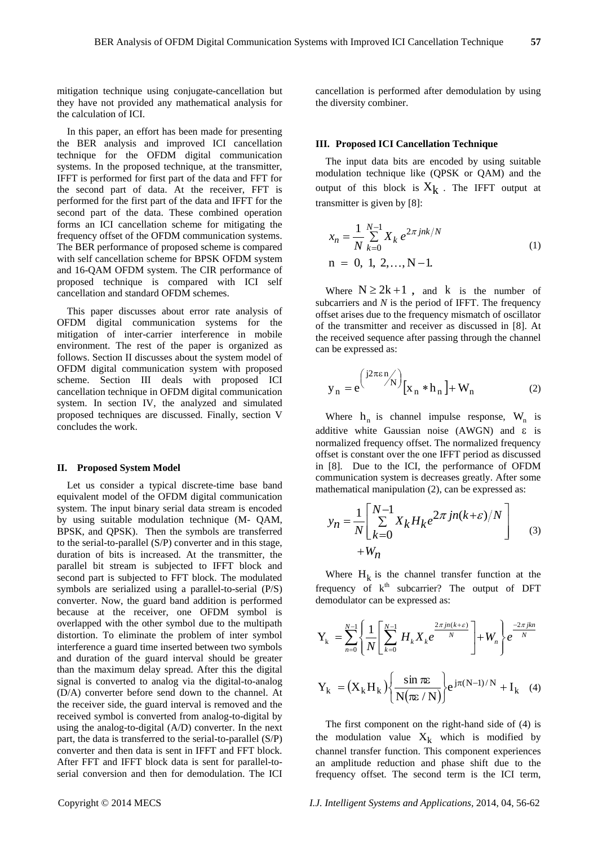mitigation technique using conjugate-cancellation but they have not provided any mathematical analysis for the calculation of ICI.

In this paper, an effort has been made for presenting the BER analysis and improved ICI cancellation technique for the OFDM digital communication systems. In the proposed technique, at the transmitter, IFFT is performed for first part of the data and FFT for the second part of data. At the receiver, FFT is performed for the first part of the data and IFFT for the second part of the data. These combined operation forms an ICI cancellation scheme for mitigating the frequency offset of the OFDM communication systems. The BER performance of proposed scheme is compared with self cancellation scheme for BPSK OFDM system and 16-QAM OFDM system. The CIR performance of proposed technique is compared with ICI self cancellation and standard OFDM schemes.

This paper discusses about error rate analysis of OFDM digital communication systems for the mitigation of inter-carrier interference in mobile environment. The rest of the paper is organized as follows. Section II discusses about the system model of OFDM digital communication system with proposed scheme. Section III deals with proposed ICI cancellation technique in OFDM digital communication system. In section IV, the analyzed and simulated proposed techniques are discussed. Finally, section V concludes the work.

#### **II. Proposed System Model**

Let us consider a typical discrete-time base band equivalent model of the OFDM digital communication system. The input binary serial data stream is encoded by using suitable modulation technique (M- QAM, BPSK, and QPSK). Then the symbols are transferred to the serial-to-parallel (S/P) converter and in this stage, duration of bits is increased. At the transmitter, the parallel bit stream is subjected to IFFT block and second part is subjected to FFT block. The modulated symbols are serialized using a parallel-to-serial (P/S) converter. Now, the guard band addition is performed because at the receiver, one OFDM symbol is overlapped with the other symbol due to the multipath distortion. To eliminate the problem of inter symbol interference a guard time inserted between two symbols and duration of the guard interval should be greater than the maximum delay spread. After this the digital signal is converted to analog via the digital-to-analog (D/A) converter before send down to the channel. At the receiver side, the guard interval is removed and the received symbol is converted from analog-to-digital by using the analog-to-digital (A/D) converter. In the next part, the data is transferred to the serial-to-parallel (S/P) converter and then data is sent in IFFT and FFT block. After FFT and IFFT block data is sent for parallel-toserial conversion and then for demodulation. The ICI cancellation is performed after demodulation by using the diversity combiner.

## **III. Proposed ICI Cancellation Technique**

The input data bits are encoded by using suitable modulation technique like (QPSK or QAM) and the output of this block is  $X_k$ . The IFFT output at transmitter is given by [8]:

$$
x_n = \frac{1}{N} \sum_{k=0}^{N-1} X_k e^{2\pi jnk/N}
$$
  
n = 0, 1, 2,..., N-1. (1)

Where  $N \ge 2k + 1$ , and k is the number of subcarriers and *N* is the period of IFFT. The frequency offset arises due to the frequency mismatch of oscillator of the transmitter and receiver as discussed in [8]. At the received sequence after passing through the channel can be expressed as:

$$
y_n = e^{\left(\frac{j2\pi\varepsilon n}{N}\right)} [x_n * h_n] + W_n \tag{2}
$$

Where  $h_n$  is channel impulse response,  $W_n$  is additive white Gaussian noise (AWGN) and  $\varepsilon$  is normalized frequency offset. The normalized frequency offset is constant over the one IFFT period as discussed in [8]. Due to the ICI, the performance of OFDM communication system is decreases greatly. After some

mathematical manipulation (2), can be expressed as:  
\n
$$
y_n = \frac{1}{N} \left[ \sum_{k=0}^{N-1} X_k H_k e^{2\pi j n(k+\varepsilon)/N} \right]
$$
\n
$$
+ W_n
$$
\n(3)

Where  $H_k$  is the channel transfer function at the frequency of  $k<sup>th</sup>$  subcarrier? The output of DFT demodulator can be expressed as:

demodulator can be expressed as:  
\n
$$
Y_{k} = \sum_{n=0}^{N-1} \left\{ \frac{1}{N} \left[ \sum_{k=0}^{N-1} H_{k} X_{k} e^{\frac{2\pi j n (k+\varepsilon)}{N}} \right] + W_{n} \right\} e^{\frac{-2\pi j kn}{N}}
$$
\n
$$
Y_{k} = (X_{k} H_{k}) \left\{ \frac{\sin \pi \varepsilon}{N (\pi \varepsilon / N)} \right\} e^{j \pi (N-1)/N} + I_{k} \quad (4)
$$

The first component on the right-hand side of (4) is the modulation value  $X_k$  which is modified by channel transfer function. This component experiences an amplitude reduction and phase shift due to the frequency offset. The second term is the ICI term,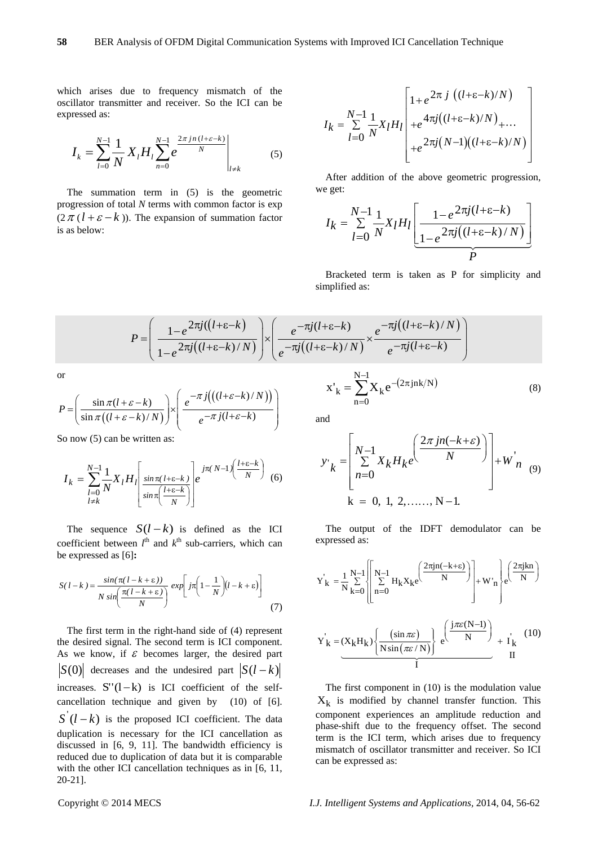which arises due to frequency mismatch of the oscillator transmitter and receiver. So the ICI can be expressed as:

$$
I_{k} = \sum_{l=0}^{N-1} \frac{1}{N} X_{l} H_{l} \sum_{n=0}^{N-1} e^{\frac{2\pi j n (l + \varepsilon - k)}{N}} \Big|_{l \neq k}
$$
 (5)

The summation term in (5) is the geometric progression of total *N* terms with common factor is exp  $(2 \pi (l + \varepsilon - k))$ . The expansion of summation factor is as below:

$$
I_k = \sum_{l=0}^{N-1} \frac{1}{N} X_l H_l \begin{bmatrix} 1 + e^{2\pi j} \left( (l+\varepsilon-k)/N \right) \\ + e^{4\pi j} \left( (l+\varepsilon-k)/N \right)_{+ \dots} \\ + e^{2\pi j} \left( N-1 \right) \left( (l+\varepsilon-k)/N \right) \end{bmatrix}
$$

After addition of the above geometric progression, we get:

e get:  
\n
$$
I_{k} = \sum_{l=0}^{N-1} \frac{1}{N} X_{l} H_{l} \left[ \frac{1 - e^{2\pi j(l + \varepsilon - k)}}{1 - e^{2\pi j((l + \varepsilon - k)/N)}} \right]
$$

Bracketed term is taken as P for simplicity and simplified as:

simplified as:  

$$
P = \left(\frac{1 - e^{2\pi j((l+\varepsilon-k))}}{1 - e^{2\pi j((l+\varepsilon-k)/N)}}\right) \times \left(\frac{e^{-\pi j(l+\varepsilon-k)}}{e^{-\pi j((l+\varepsilon-k)/N)}}\right) \times \frac{e^{-\pi j((l+\varepsilon-k)/N)}}{e^{-\pi j(l+\varepsilon-k)}}\right)
$$

or

or  
\n
$$
P = \left(\frac{\sin \pi (l + \varepsilon - k)}{\sin \pi (l + \varepsilon - k)/N)}\right) \times \left(\frac{e^{-\pi j} \left(\left((l + \varepsilon - k)/N\right)\right)}{e^{-\pi j (l + \varepsilon - k)}}\right)
$$

So now  $(5)$  can be written as:

$$
I_{k} = \sum_{\substack{l=0 \ l \neq k}}^{N-1} \frac{1}{N} X_{l} H_{l} \left[ \frac{\sin \pi (l + \varepsilon - k)}{\sin \pi \left( \frac{l + \varepsilon - k}{N} \right)} \right] e^{j \pi (N-1) \left( \frac{l + \varepsilon - k}{N} \right)} \tag{6}
$$

The sequence  $S(l-k)$  is defined as the ICI coefficient between  $l^{\text{th}}$  and  $k^{\text{th}}$  sub-carriers, which can be expressed as [6]**:**

$$
S(l-k) = \frac{\sin(\pi(l-k+\varepsilon))}{N \sin(\frac{\pi(l-k+\varepsilon)}{N})} \exp\left[j\pi\left(1-\frac{1}{N}\right)\left(l-k+\varepsilon\right)\right]
$$
(7)

The first term in the right-hand side of (4) represent the desired signal. The second term is ICI component. As we know, if  $\epsilon$  becomes larger, the desired part  $S(0)$  decreases and the undesired part  $S(l-k)$ increases.  $S''(l-k)$  is ICI coefficient of the selfcancellation technique and given by (10) of [6].  $S'(l-k)$  is the proposed ICI coefficient. The data duplication is necessary for the ICI cancellation as discussed in [6, 9, 11]. The bandwidth efficiency is reduced due to duplication of data but it is comparable with the other ICI cancellation techniques as in [6, 11, 20-21].

 $\sum_{\mathbf{Y}}^{N-1}$   $\mathbf{Y}$   $_{\alpha}$  -(2 $\pi$ jnk/N)  $n = 0$  $x'_{k} = \sum_{k=1}^{N-1} X_{k} e^{-\left(2\pi\right)^{k}}$  $=$  $=\sum X_k e^{-(2\pi jnk/N)}$  (8)

and

$$
y'_{k} = \left[\begin{array}{l} N-1 \\ \sum_{n=0}^{N-1} X_{k} H_{k} e^{\left(\frac{2\pi j n(-k+\varepsilon)}{N}\right)} \right] + W_{n} \\ k = 0, 1, 2, \dots, N-1. \end{array}\right]
$$

The output of the IDFT demodulator can be expressed as:

expressed as:  
\n
$$
Y'_{k} = \frac{1}{N} \sum_{k=0}^{N-1} \left[ \sum_{n=0}^{N-1} H_{k} X_{k} e^{-\frac{2\pi j n(-k+\epsilon)}{N}} \right] + W'_{n} e^{-\frac{2\pi j k n}{N}}.
$$
\n
$$
Y'_{k} = (X_{k} H_{k}) \left\{ \frac{(\sin \pi \epsilon)}{N \sin(\pi \epsilon / N)} \right\} e^{-\frac{(\frac{j \pi \epsilon (N-1)}{N})}{N}} + I'_{k}
$$
\n(10)\n11

The first component in (10) is the modulation value  $X_k$  is modified by channel transfer function. This component experiences an amplitude reduction and phase-shift due to the frequency offset. The second term is the ICI term, which arises due to frequency mismatch of oscillator transmitter and receiver. So ICI can be expressed as: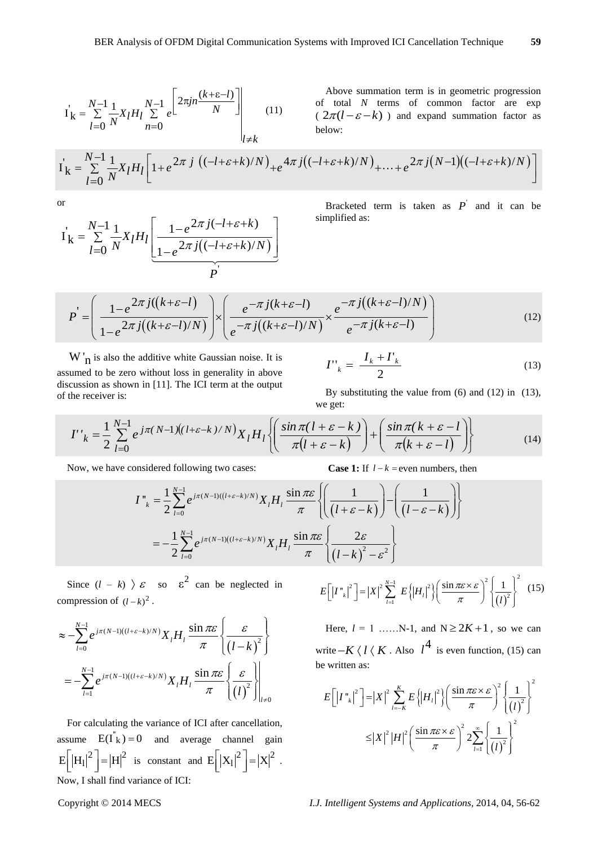$$
\dot{\mathbf{I}}_{k} = \sum_{l=0}^{N-1} \frac{1}{N} \chi_{l} H_{l} \sum_{n=0}^{N-1} e^{\left[ 2\pi j n \frac{(k+\varepsilon-l)}{N} \right]} \Bigg|_{l \neq k} \tag{11}
$$

Above summation term is in geometric progression of total *N* terms of common factor are exp  $(2\pi(l-\varepsilon-k))$  and expand summation factor as below:

$$
\mathbf{I}_{\mathbf{k}} = \sum_{l=0}^{N-1} \frac{1}{N} \mathbf{X}_{l} H_{l} \sum_{n=0}^{N-1} e^{\left[\frac{2\pi j n}{N}\right]} \qquad (11) \qquad \text{of total } N \text{ terms of common factor are } \exp\left(\frac{2\pi (l - \varepsilon - k)}{2})\right) \text{ and expand summation factor as below:}
$$
\n
$$
\mathbf{I}_{\mathbf{k}} = \sum_{l=0}^{N-1} \frac{1}{N} \mathbf{X}_{l} H_{l} \left[1 + e^{\left(2\pi j \left(\frac{1 - \varepsilon + k}{N}\right)/N\right)} + e^{4\pi j \left(\frac{1 - \varepsilon + k}{N}\right)/N\right)} + \dots + e^{\left(2\pi j \left(N-1\right)\left(\frac{1 - \varepsilon + k}{N}\right)/N\right)}\right]
$$

or

$$
\mathbf{I}_{\mathbf{k}} = \sum_{l=0}^{N-1} \frac{1}{N} X_l H_l \left[ \frac{1 - e^{2\pi j(-l + \varepsilon + k)}}{1 - e^{2\pi j((-l + \varepsilon + k)/N)}} \right]
$$

Bracketed term is taken as  $P'$  and it can be simplified as:

$$
P^{'} = \left(\frac{1 - e^{2\pi j((k+\varepsilon-l))}}{1 - e^{2\pi j((k+\varepsilon-l)/N)}}\right) \times \left(\frac{e^{-\pi j(k+\varepsilon-l)}}{e^{-\pi j((k+\varepsilon-l)/N)}}\right) \times \left(\frac{e^{-\pi j(k+\varepsilon-l)}}{e^{-\pi j(k+\varepsilon-l)}}\right) \tag{12}
$$

 $W'_{n}$  is also the additive white Gaussian noise. It is assumed to be zero without loss in generality in above discussion as shown in [11]. The ICI term at the output of the receiver is:

$$
I^{\prime\prime}_{k} = \frac{I_{k} + I^{\prime}_{k}}{2} \tag{13}
$$

By substituting the value from (6) and (12) in (13), we get:

$$
I''_k = \frac{1}{2} \sum_{l=0}^{N-1} e^{j\pi (N-1)\left((l+\varepsilon-k)/N\right)} X_l H_l \left\{ \left( \frac{\sin \pi (l+\varepsilon-k)}{\pi (l+\varepsilon-k)} \right) + \left( \frac{\sin \pi (k+\varepsilon-l)}{\pi (k+\varepsilon-l)} \right) \right\}
$$
(14)

 $l - k$  = even numbers, then

Now, we have considered following two cases:  
\n
$$
I_{k}^{n} = \frac{1}{2} \sum_{l=0}^{N-1} e^{j\pi(N-l)((l+\varepsilon-k)/N)} X_{l} H_{l} \frac{\sin \pi \varepsilon}{\pi} \left\{ \left( \frac{1}{(l+\varepsilon-k)} \right) - \left( \frac{1}{(l-\varepsilon-k)} \right) \right\}
$$
\n
$$
= -\frac{1}{2} \sum_{l=0}^{N-1} e^{j\pi(N-l)((l+\varepsilon-k)/N)} X_{l} H_{l} \frac{\sin \pi \varepsilon}{\pi} \left\{ \frac{2\varepsilon}{(l-k)^{2} - \varepsilon^{2}} \right\}
$$

Since  $(l - k)$   $\rightarrow \varepsilon$  so  $\varepsilon^2$  can be neglected in compression of  $(l-k)^2$ .

compression of 
$$
(l-k)^2
$$
.  
\n
$$
\approx -\sum_{l=0}^{N-1} e^{j\pi(N-l)((l+\varepsilon-k)/N)} X_l H_l \frac{\sin \pi \varepsilon}{\pi} \left\{ \frac{\varepsilon}{(l-k)^2} \right\}
$$
\n
$$
= -\sum_{l=1}^{N-1} e^{j\pi(N-l)((l+\varepsilon-k)/N)} X_l H_l \frac{\sin \pi \varepsilon}{\pi} \left\{ \frac{\varepsilon}{(l)^2} \right\}_{l\neq 0}
$$

For calculating the variance of ICI after cancellation, assume  $E(I_K^{\dagger}) = 0$  and average channel gain  $E\left[\left|H_{l}\right|^{2}\right] = \left|H\right|^{2}$  is constant and  $E\left[\left|X_{l}\right|^{2}\right] = \left|X\right|^{2}$ . Now, I shall find variance of ICI:

$$
E\left[\left|I^{n_k}\right|^2\right] = \left|X\right|^2 \sum_{l=1}^{N-1} E\left\{\left|H_l\right|^2\right\} \left(\frac{\sin \pi \varepsilon \times \varepsilon}{\pi}\right)^2 \left\{\frac{1}{\left(l\right)^2}\right\}^2 \tag{15}
$$

Here,  $l = 1$  .......N-1, and  $N \ge 2K + 1$ , so we can write  $-K \langle l \langle K. \text{ Also } l^4 \text{ is even function, (15) can}$ be written as:

e written as:  
\n
$$
E\left[\left|I_{\kappa}^{\kappa}\right|^{2}\right] = \left|X\right|^{2} \sum_{l=-K}^{K} E\left\{\left|H_{l}\right|^{2}\right\} \left(\frac{\sin \pi \varepsilon \times \varepsilon}{\pi}\right)^{2} \left\{\frac{1}{\left(l\right)^{2}}\right\}^{2}
$$
\n
$$
\leq \left|X\right|^{2} \left|H\right|^{2} \left(\frac{\sin \pi \varepsilon \times \varepsilon}{\pi}\right)^{2} 2 \sum_{l=1}^{\infty} \left\{\frac{1}{\left(l\right)^{2}}\right\}^{2}
$$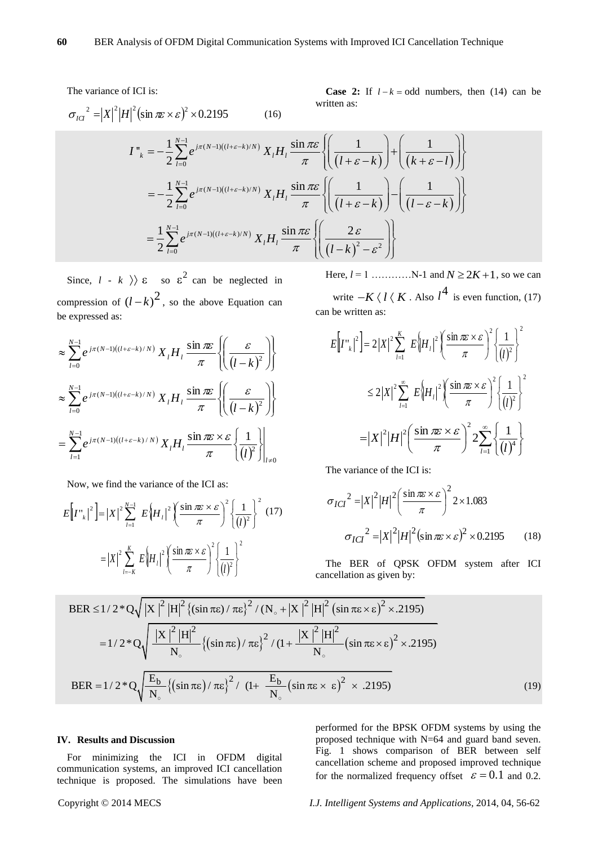The variance of ICI is:

**Case 2:** If 
$$
l - k = \text{odd numbers}
$$
, then (14) can be written as:

$$
\sigma_{IG}^{2} = |X|^{2} |H|^{2} (\sin \pi \varepsilon \times \varepsilon)^{2} \times 0.2195
$$
\n
$$
I''_{k} = -\frac{1}{2} \sum_{l=0}^{N-1} e^{j\pi(N-l)((l+\varepsilon-k)/N)} X_{l} H_{l} \frac{\sin \pi \varepsilon}{\pi} \left\{ \left( \frac{1}{(l+\varepsilon-k)} \right) + \left( \frac{1}{(k+\varepsilon-l)} \right) \right\}
$$
\n
$$
= -\frac{1}{2} \sum_{l=0}^{N-1} e^{j\pi(N-l)((l+\varepsilon-k)/N)} X_{l} H_{l} \frac{\sin \pi \varepsilon}{\pi} \left\{ \left( \frac{1}{(l+\varepsilon-k)} \right) - \left( \frac{1}{(l-\varepsilon-k)} \right) \right\}
$$
\n
$$
= \frac{1}{2} \sum_{l=0}^{N-1} e^{j\pi(N-l)((l+\varepsilon-k)/N)} X_{l} H_{l} \frac{\sin \pi \varepsilon}{\pi} \left\{ \left( \frac{2\varepsilon}{(l-k)^{2} - \varepsilon^{2}} \right) \right\}
$$

Since,  $l - k$   $\rangle$   $\varepsilon$  so  $\varepsilon^2$  can be neglected in compression of  $(l-k)^2$ , so the above Equation can be expressed as:

$$
\approx \sum_{l=0}^{N-1} e^{j\pi(N-l)((l+\varepsilon-k)/N)} X_l H_l \frac{\sin \pi \varepsilon}{\pi} \left\{ \left( \frac{\varepsilon}{(l-k)^2} \right) \right\}
$$

$$
\approx \sum_{l=0}^{N-1} e^{j\pi(N-l)((l+\varepsilon-k)/N)} X_l H_l \frac{\sin \pi \varepsilon}{\pi} \left\{ \left( \frac{\varepsilon}{(l-k)^2} \right) \right\}
$$

$$
= \sum_{l=1}^{N-1} e^{j\pi(N-l)((l+\varepsilon-k)/N)} X_l H_l \frac{\sin \pi \varepsilon \times \varepsilon}{\pi} \left\{ \left( \frac{1}{(l)^2} \right) \right\}_{l \neq 0}
$$

Now, we find the variance of the ICI as:

$$
E\left[\left|I^{n}_{k}\right|^{2}\right] = \left|X\right|^{2} \sum_{l=1}^{N-1} E\left\{H_{l}\right|^{2} \left(\frac{\sin \pi \epsilon \times \epsilon}{\pi}\right)^{2} \left\{\frac{1}{(l)^{2}}\right\}^{2} (17)
$$

$$
= \left|X\right|^{2} \sum_{l=-K}^{K} E\left\{H_{l}\right|^{2} \left(\frac{\sin \pi \epsilon \times \epsilon}{\pi}\right)^{2} \left\{\frac{1}{(l)^{2}}\right\}^{2}
$$

Here, *l* = 1 …………N-1 and *N* 2*K* 1 , so we can write  $-K \langle l \langle K. \text{ Also } l^4 \text{ is even function, (17)} \rangle$ can be written as:

$$
E\left[\left|I^{n_k}\right|^2\right] = 2\left|X\right|^2 \sum_{l=1}^K E\left\{H_l\right\}^2 \left(\frac{\sin \pi \varepsilon \times \varepsilon}{\pi}\right)^2 \left\{\frac{1}{(l)^2}\right\}^2
$$
  

$$
\leq 2\left|X\right|^2 \sum_{l=1}^\infty E\left\{H_l\right\}^2 \left(\frac{\sin \pi \varepsilon \times \varepsilon}{\pi}\right)^2 \left\{\frac{1}{(l)^2}\right\}^2
$$

$$
= \left|X\right|^2 \left|H\right|^2 \left(\frac{\sin \pi \varepsilon \times \varepsilon}{\pi}\right)^2 2 \sum_{l=1}^\infty \left\{\frac{1}{(l)^4}\right\}
$$

The variance of the ICI is:

$$
\sigma_{ICI}^2 = |X|^2 |H|^2 \left(\frac{\sin \pi \varepsilon \times \varepsilon}{\pi}\right)^2 2 \times 1.083
$$

$$
\sigma_{ICI}^2 = |X|^2 |H|^2 (\sin \pi \varepsilon \times \varepsilon)^2 \times 0.2195 \qquad (18)
$$

The BER of QPSK OFDM system after ICI cancellation as given by:

BER ≤1/2\*Q
$$
\sqrt{|X|^2 |H|^2
$$
 {sin πε) / πε}<sup>2</sup> / (N<sub>o</sub> + |X|^2 |H|^2 (sin πε × ε)<sup>2</sup> × .2195)  
\n=1/2\*Q $\sqrt{\frac{|X|^2 |H|^2}{N_o}$  {sin πε) / πε}<sup>2</sup> / (1 +  $\frac{|X|^2 |H|^2}{N_o}$  (sin πε × ε)<sup>2</sup> × .2195)  
\nBER = 1/2\*Q $\sqrt{\frac{E_b}{N_o}$  {sin πε) / πε}<sup>2</sup> / (1 +  $\frac{E_b}{N_o}$  (sin πε × ε)<sup>2</sup> × .2195) (19)

## **IV. Results and Discussion**

For minimizing the ICI in OFDM digital communication systems, an improved ICI cancellation technique is proposed. The simulations have been performed for the BPSK OFDM systems by using the proposed technique with N=64 and guard band seven. Fig. 1 shows comparison of BER between self cancellation scheme and proposed improved technique for the normalized frequency offset  $\varepsilon = 0.1$  and 0.2.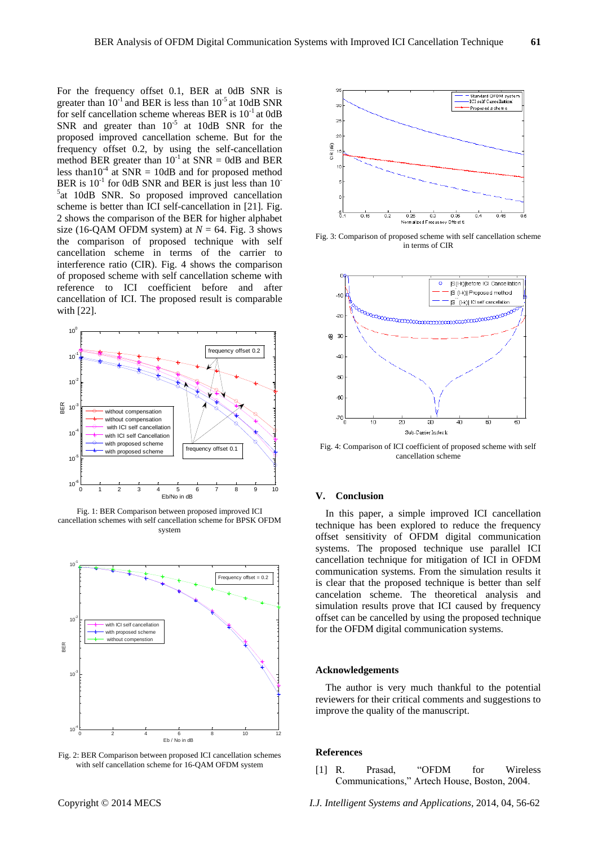For the frequency offset 0.1, BER at 0dB SNR is greater than  $10^{-1}$  and BER is less than  $10^{-5}$  at 10dB SNR for self cancellation scheme whereas BER is  $10^{-1}$  at 0dB SNR and greater than  $10^{-5}$  at 10dB SNR for the proposed improved cancellation scheme. But for the frequency offset 0.2, by using the self-cancellation method BER greater than  $10^{-1}$  at SNR = 0dB and BER less than  $10^{-4}$  at SNR = 10dB and for proposed method BER is  $10^{-1}$  for 0dB SNR and BER is just less than  $10^{-1}$ <sup>5</sup>at 10dB SNR. So proposed improved cancellation scheme is better than ICI self-cancellation in [21]. Fig. 2 shows the comparison of the BER for higher alphabet size (16-QAM OFDM system) at  $N = 64$ . Fig. 3 shows the comparison of proposed technique with self cancellation scheme in terms of the carrier to interference ratio (CIR). Fig. 4 shows the comparison of proposed scheme with self cancellation scheme with reference to ICI coefficient before and after cancellation of ICI. The proposed result is comparable with [22].



Fig. 1: BER Comparison between proposed improved ICI cancellation schemes with self cancellation scheme for BPSK OFDM system



Fig. 2: BER Comparison between proposed ICI cancellation schemes with self cancellation scheme for 16-QAM OFDM system



Fig. 3: Comparison of proposed scheme with self cancellation scheme in terms of CIR



Fig. 4: Comparison of ICI coefficient of proposed scheme with self cancellation scheme

## **V. Conclusion**

In this paper, a simple improved ICI cancellation technique has been explored to reduce the frequency offset sensitivity of OFDM digital communication systems. The proposed technique use parallel ICI cancellation technique for mitigation of ICI in OFDM communication systems. From the simulation results it is clear that the proposed technique is better than self cancelation scheme. The theoretical analysis and simulation results prove that ICI caused by frequency offset can be cancelled by using the proposed technique for the OFDM digital communication systems.

## **Acknowledgements**

The author is very much thankful to the potential reviewers for their critical comments and suggestions to improve the quality of the manuscript.

## **References**

[1] R. Prasad, "OFDM for Wireless Communications," Artech House, Boston, 2004.